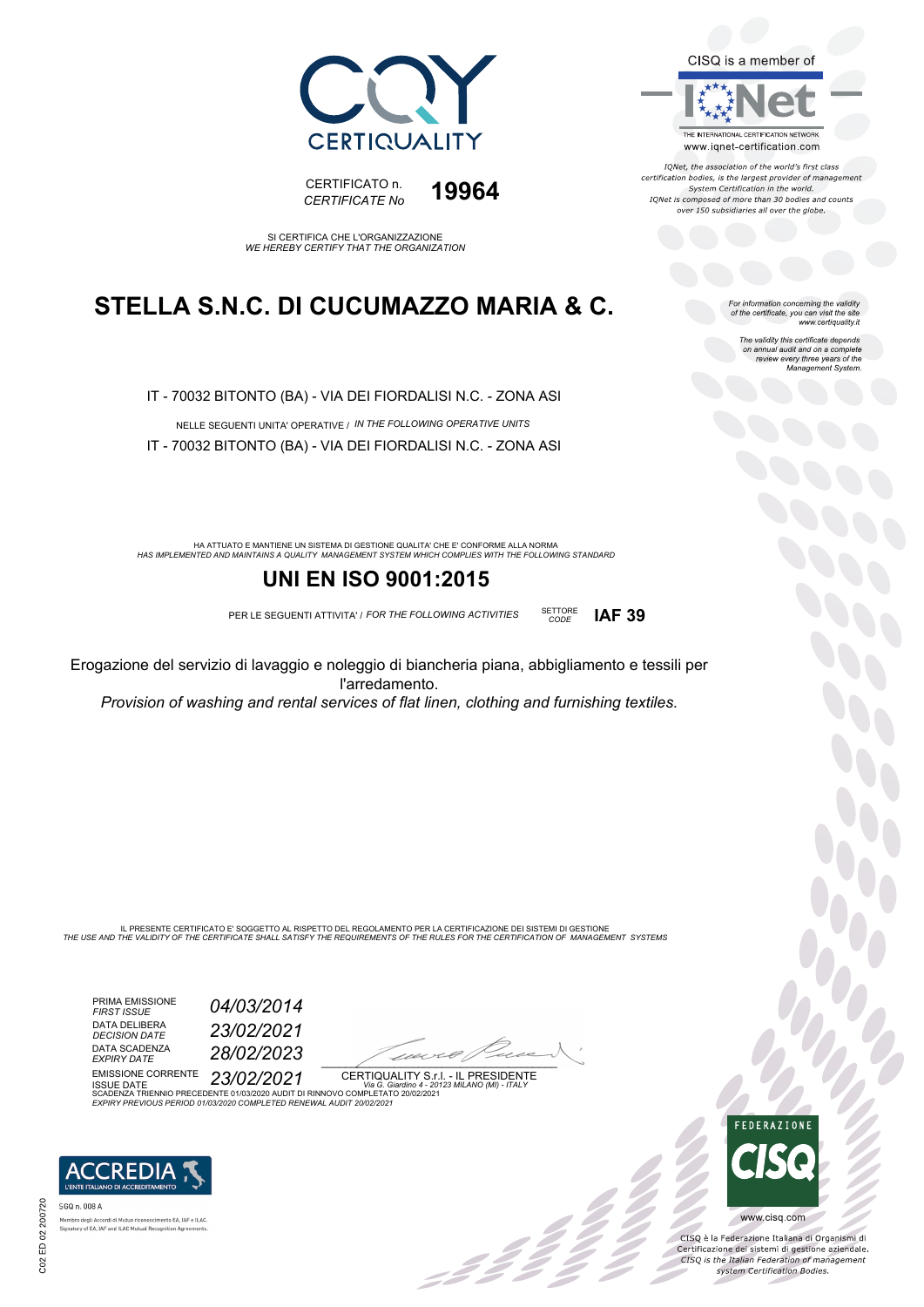



SI CERTIFICA CHE L'ORGANIZZAZIONE *WE HEREBY CERTIFY THAT THE ORGANIZATION*

### **STELLA S.N.C. DI CUCUMAZZO MARIA & C.**

IT - 70032 BITONTO (BA) - VIA DEI FIORDALISI N.C. - ZONA ASI

NELLE SEGUENTI UNITA' OPERATIVE / *IN THE FOLLOWING OPERATIVE UNITS* IT - 70032 BITONTO (BA) - VIA DEI FIORDALISI N.C. - ZONA ASI

HA ATTUATO E MANTIENE UN SISTEMA DI GESTIONE QUALITA' CHE E' CONFORME ALLA NORMA<br>HAS IMPLEMENTED AND MAINTAINS A QUALITY MANAGEMENT SYSTEM WHICH COMPLIES WITH THE FOLLOWING STANDARD

### **UNI EN ISO 9001:2015**

PER LE SEGUENTI ATTIVITA' / *FOR THE FOLLOWING ACTIVITIES* SETTORE

Erogazione del servizio di lavaggio e noleggio di biancheria piana, abbigliamento e tessili per l'arredamento.

*Provision of washing and rental services of flat linen, clothing and furnishing textiles.*

IL PRESENTE CERTIFICATO E' SOGGETTO AL RISPETTO DEL REGOLAMENTO PER LA CERTIFICAZIONE DEI SISTEMI DI GESTIONE<br>THE USE AND THE VALIDITY OF THE CERTIFICATE SHALL SATISFY THE REQUIREMENTS OF THE RULES FOR THE CERTIFICATION OF

PRIMA EMISSIONE *FIRST ISSUE 04/03/2014* DATA DELIBERA<br>DECISION DATE DATA SCADENZA<br>EXPIRY DATE

*DECISION DATE 23/02/2021 EXPIRY DATE 28/02/2023*

 $\overline{\phantom{a}}$ 

EMISSIONE CORRENTE ISSUE DATE *23/02/2021* CERTIQUALITY S.r.l. - IL PRESIDENTE SCADENZA TRIENNIO PRECEDENTE 01/03/2020 AUDIT DI RINNOVO COMPLETATO 20/02/2021 *Via G. Giardino 4 - 20123 MILANO (MI) - ITALY EXPIRY PREVIOUS PERIOD 01/03/2020 COMPLETED RENEWAL AUDIT 20/02/2021*



SGQ n. 008 A sho dega Accordi di Matao Heonoseimen<br>Itory of EA, IAF and ILAC Mutual Recogni

CISQ is a member of THE INTERNATIONAL CERTIFICATION NETWORK

IONet, the association of the world's first class certification bodies, is the largest provider of management<br>System Certification in the world. IQNet is composed of more than 30 bodies and counts over 150 subsidiaries all over the globe.

www.iqnet-certification.com

*CODE* **IAF 39**

For information concerning the validity<br>of the certificate, you can visit the site<br>www.certiquality.it

The validity this certificate depends on annual audit and on a complete review every three years of the Management System.



UO<br>OO

www.cisq.com

CISQ è la Federazione Italiana di Organismi di Certificazione dei sistemi di gestione aziendale.<br>CESQ is the Italian Federation of management system Certification Bodies.